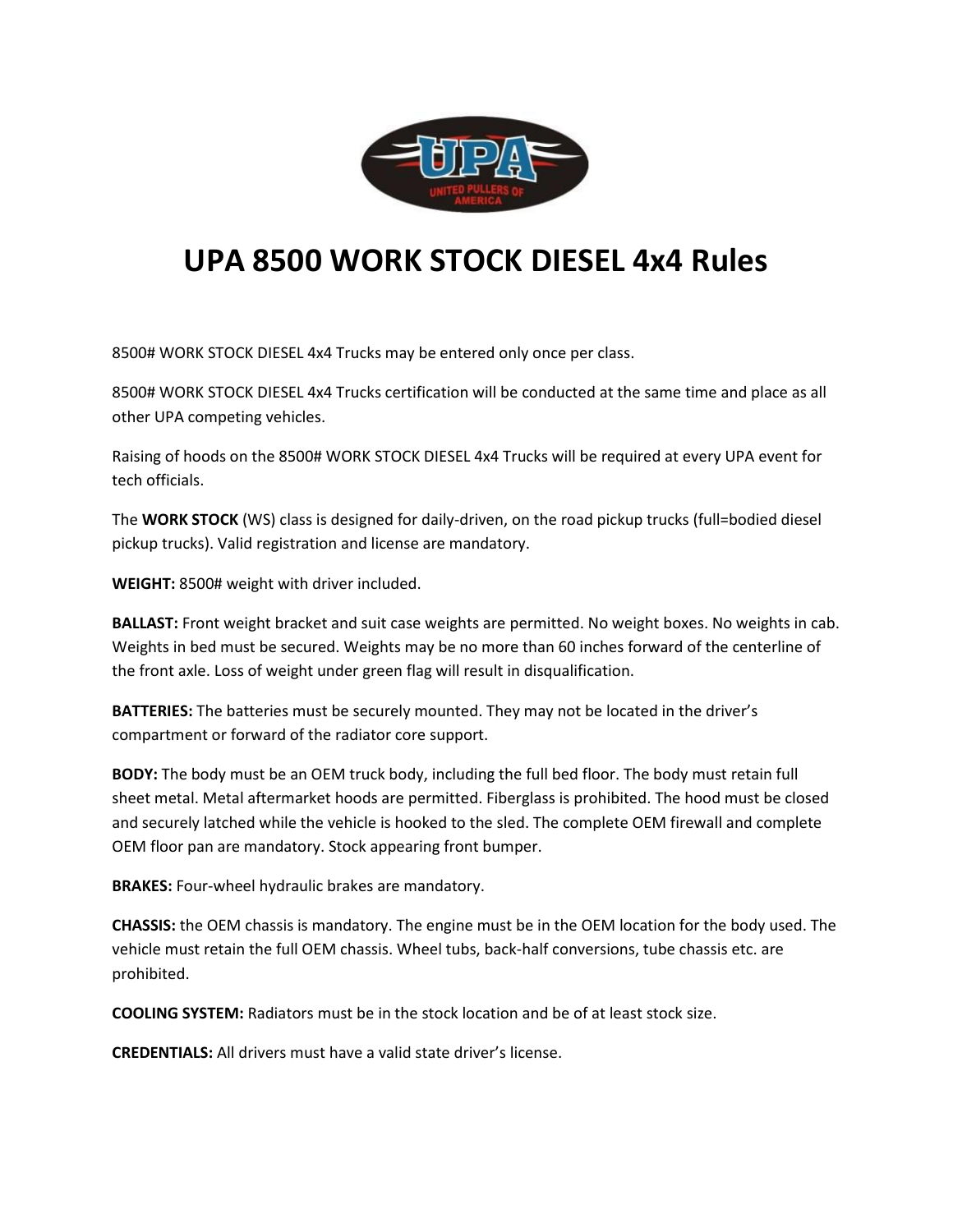

## **UPA 8500 WORK STOCK DIESEL 4x4 Rules**

8500# WORK STOCK DIESEL 4x4 Trucks may be entered only once per class.

8500# WORK STOCK DIESEL 4x4 Trucks certification will be conducted at the same time and place as all other UPA competing vehicles.

Raising of hoods on the 8500# WORK STOCK DIESEL 4x4 Trucks will be required at every UPA event for tech officials.

The **WORK STOCK** (WS) class is designed for daily-driven, on the road pickup trucks (full=bodied diesel pickup trucks). Valid registration and license are mandatory.

**WEIGHT:** 8500# weight with driver included.

**BALLAST:** Front weight bracket and suit case weights are permitted. No weight boxes. No weights in cab. Weights in bed must be secured. Weights may be no more than 60 inches forward of the centerline of the front axle. Loss of weight under green flag will result in disqualification.

**BATTERIES:** The batteries must be securely mounted. They may not be located in the driver's compartment or forward of the radiator core support.

**BODY:** The body must be an OEM truck body, including the full bed floor. The body must retain full sheet metal. Metal aftermarket hoods are permitted. Fiberglass is prohibited. The hood must be closed and securely latched while the vehicle is hooked to the sled. The complete OEM firewall and complete OEM floor pan are mandatory. Stock appearing front bumper.

**BRAKES:** Four-wheel hydraulic brakes are mandatory.

**CHASSIS:** the OEM chassis is mandatory. The engine must be in the OEM location for the body used. The vehicle must retain the full OEM chassis. Wheel tubs, back-half conversions, tube chassis etc. are prohibited.

**COOLING SYSTEM:** Radiators must be in the stock location and be of at least stock size.

**CREDENTIALS:** All drivers must have a valid state driver's license.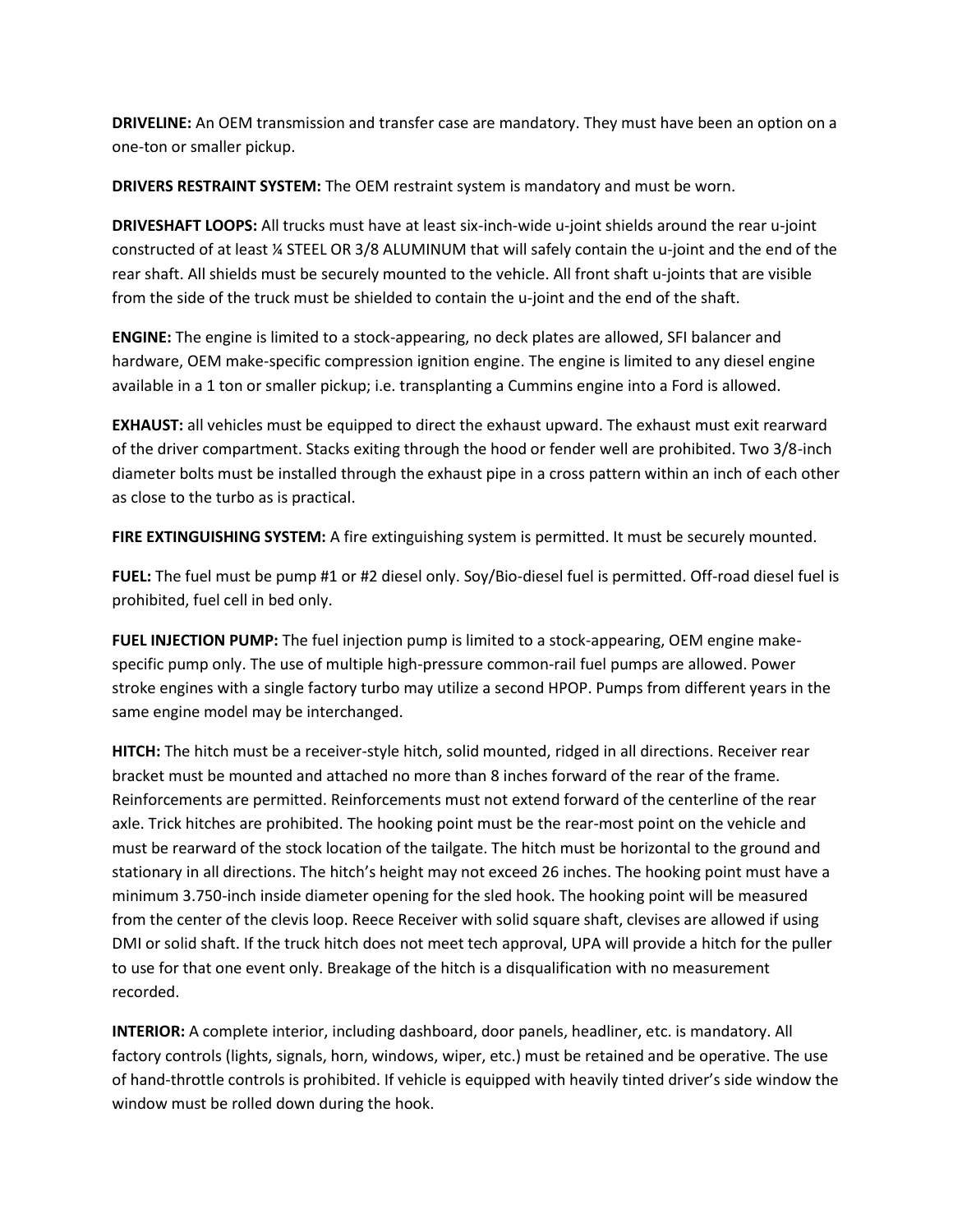**DRIVELINE:** An OEM transmission and transfer case are mandatory. They must have been an option on a one-ton or smaller pickup.

**DRIVERS RESTRAINT SYSTEM:** The OEM restraint system is mandatory and must be worn.

**DRIVESHAFT LOOPS:** All trucks must have at least six-inch-wide u-joint shields around the rear u-joint constructed of at least ¼ STEEL OR 3/8 ALUMINUM that will safely contain the u-joint and the end of the rear shaft. All shields must be securely mounted to the vehicle. All front shaft u-joints that are visible from the side of the truck must be shielded to contain the u-joint and the end of the shaft.

**ENGINE:** The engine is limited to a stock-appearing, no deck plates are allowed, SFI balancer and hardware, OEM make-specific compression ignition engine. The engine is limited to any diesel engine available in a 1 ton or smaller pickup; i.e. transplanting a Cummins engine into a Ford is allowed.

**EXHAUST:** all vehicles must be equipped to direct the exhaust upward. The exhaust must exit rearward of the driver compartment. Stacks exiting through the hood or fender well are prohibited. Two 3/8-inch diameter bolts must be installed through the exhaust pipe in a cross pattern within an inch of each other as close to the turbo as is practical.

**FIRE EXTINGUISHING SYSTEM:** A fire extinguishing system is permitted. It must be securely mounted.

**FUEL:** The fuel must be pump #1 or #2 diesel only. Soy/Bio-diesel fuel is permitted. Off-road diesel fuel is prohibited, fuel cell in bed only.

**FUEL INJECTION PUMP:** The fuel injection pump is limited to a stock-appearing, OEM engine makespecific pump only. The use of multiple high-pressure common-rail fuel pumps are allowed. Power stroke engines with a single factory turbo may utilize a second HPOP. Pumps from different years in the same engine model may be interchanged.

**HITCH:** The hitch must be a receiver-style hitch, solid mounted, ridged in all directions. Receiver rear bracket must be mounted and attached no more than 8 inches forward of the rear of the frame. Reinforcements are permitted. Reinforcements must not extend forward of the centerline of the rear axle. Trick hitches are prohibited. The hooking point must be the rear-most point on the vehicle and must be rearward of the stock location of the tailgate. The hitch must be horizontal to the ground and stationary in all directions. The hitch's height may not exceed 26 inches. The hooking point must have a minimum 3.750-inch inside diameter opening for the sled hook. The hooking point will be measured from the center of the clevis loop. Reece Receiver with solid square shaft, clevises are allowed if using DMI or solid shaft. If the truck hitch does not meet tech approval, UPA will provide a hitch for the puller to use for that one event only. Breakage of the hitch is a disqualification with no measurement recorded.

**INTERIOR:** A complete interior, including dashboard, door panels, headliner, etc. is mandatory. All factory controls (lights, signals, horn, windows, wiper, etc.) must be retained and be operative. The use of hand-throttle controls is prohibited. If vehicle is equipped with heavily tinted driver's side window the window must be rolled down during the hook.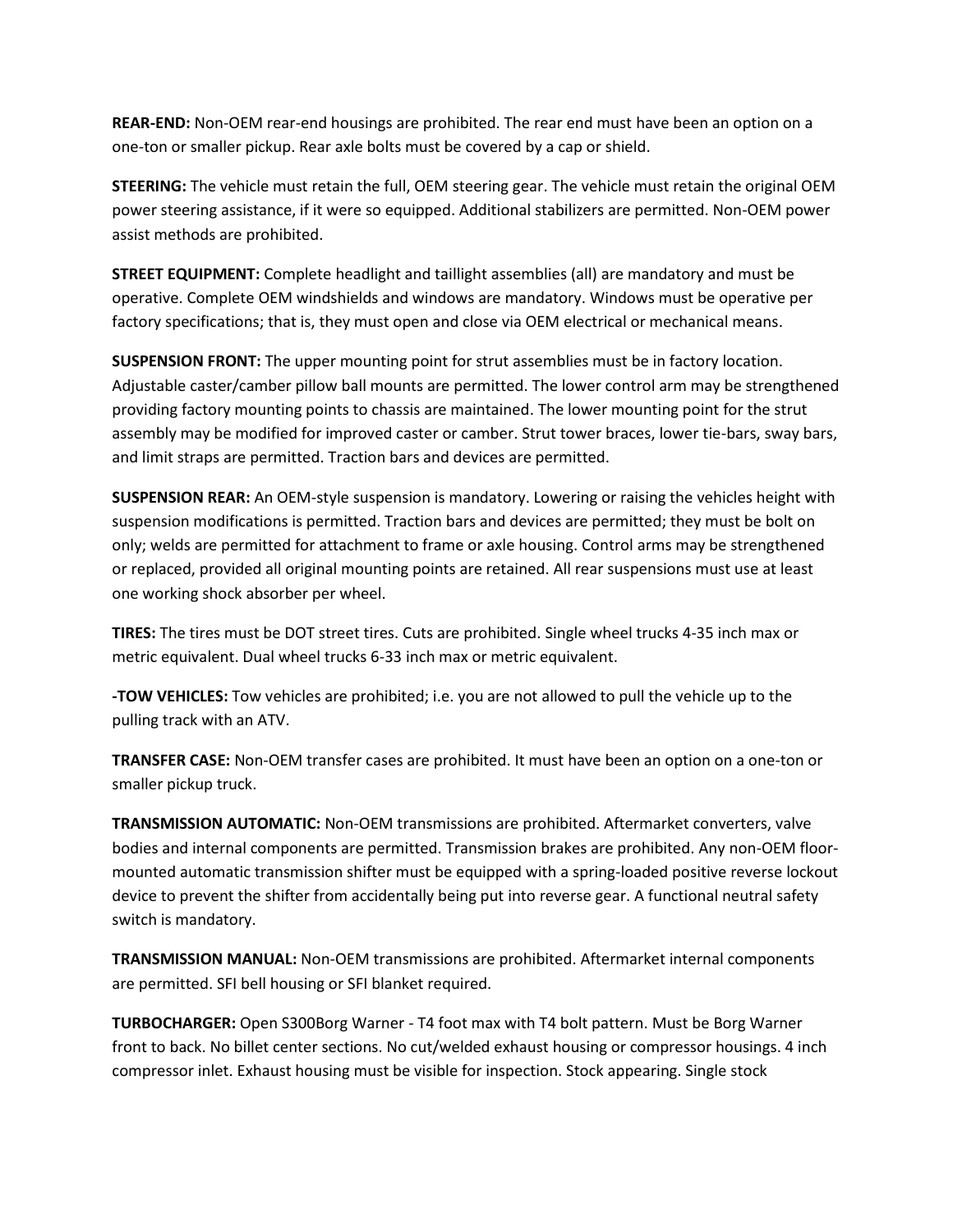**REAR-END:** Non-OEM rear-end housings are prohibited. The rear end must have been an option on a one-ton or smaller pickup. Rear axle bolts must be covered by a cap or shield.

**STEERING:** The vehicle must retain the full, OEM steering gear. The vehicle must retain the original OEM power steering assistance, if it were so equipped. Additional stabilizers are permitted. Non-OEM power assist methods are prohibited.

**STREET EQUIPMENT:** Complete headlight and taillight assemblies (all) are mandatory and must be operative. Complete OEM windshields and windows are mandatory. Windows must be operative per factory specifications; that is, they must open and close via OEM electrical or mechanical means.

**SUSPENSION FRONT:** The upper mounting point for strut assemblies must be in factory location. Adjustable caster/camber pillow ball mounts are permitted. The lower control arm may be strengthened providing factory mounting points to chassis are maintained. The lower mounting point for the strut assembly may be modified for improved caster or camber. Strut tower braces, lower tie-bars, sway bars, and limit straps are permitted. Traction bars and devices are permitted.

**SUSPENSION REAR:** An OEM-style suspension is mandatory. Lowering or raising the vehicles height with suspension modifications is permitted. Traction bars and devices are permitted; they must be bolt on only; welds are permitted for attachment to frame or axle housing. Control arms may be strengthened or replaced, provided all original mounting points are retained. All rear suspensions must use at least one working shock absorber per wheel.

**TIRES:** The tires must be DOT street tires. Cuts are prohibited. Single wheel trucks 4-35 inch max or metric equivalent. Dual wheel trucks 6-33 inch max or metric equivalent.

**-TOW VEHICLES:** Tow vehicles are prohibited; i.e. you are not allowed to pull the vehicle up to the pulling track with an ATV.

**TRANSFER CASE:** Non-OEM transfer cases are prohibited. It must have been an option on a one-ton or smaller pickup truck.

**TRANSMISSION AUTOMATIC:** Non-OEM transmissions are prohibited. Aftermarket converters, valve bodies and internal components are permitted. Transmission brakes are prohibited. Any non-OEM floormounted automatic transmission shifter must be equipped with a spring-loaded positive reverse lockout device to prevent the shifter from accidentally being put into reverse gear. A functional neutral safety switch is mandatory.

**TRANSMISSION MANUAL:** Non-OEM transmissions are prohibited. Aftermarket internal components are permitted. SFI bell housing or SFI blanket required.

**TURBOCHARGER:** Open S300Borg Warner - T4 foot max with T4 bolt pattern. Must be Borg Warner front to back. No billet center sections. No cut/welded exhaust housing or compressor housings. 4 inch compressor inlet. Exhaust housing must be visible for inspection. Stock appearing. Single stock